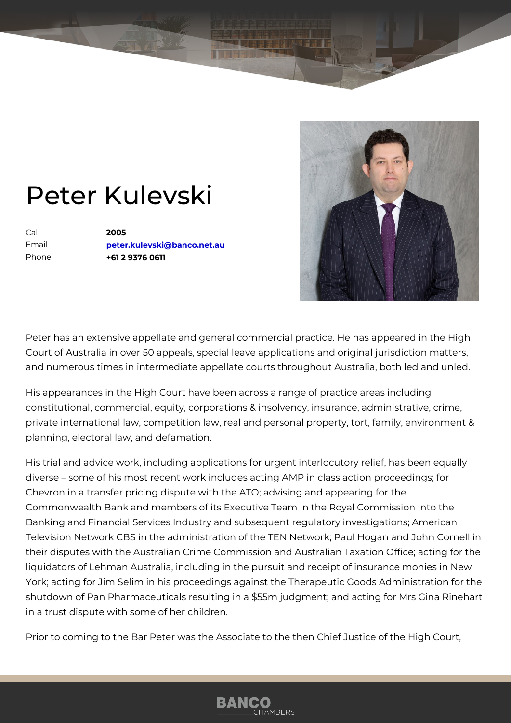## Peter Kulevski

Call 2005 Email [peter.kulevski@banco](mailto:peter.kulevski@banco.net.au).net.au Phone +61 2 9376 0611

Peter has an extensive appellate and general commercial practice. He ha Court of Australia in over 50 appeals, special leave applications and orig and numerous times in intermediate appellate courts throughout Australia

His appearances in the High Court have been across a range of practice constitutional, commercial, equity, corporations & insolvency, insurance, private international law, competition law, real and personal property, to planning, electoral law, and defamation.

His trial and advice work, including applications for urgent interlocutory diverse some of his most recent work includes acting AMP in class actional Chevron in a transfer pricing dispute with the ATO; advising and appeari Commonwealth Bank and members of its Executive Team in the Royal Com Banking and Financial Services Industry and subsequent regulatory inves Television Network CBS in the administration of the TEN Network; Paul H their disputes with the Australian Crime Commission and Australian Taxa liquidators of Lehman Australia, including in the pursuit and receipt of ir York; acting for Jim Selim in his proceedings against the Therapeutic Go shutdown of Pan Pharmaceuticals resulting in a \$55m judgment; and acting in a trust dispute with some of her children.

Prior to coming to the Bar Peter was the Associate to the then Chief Just